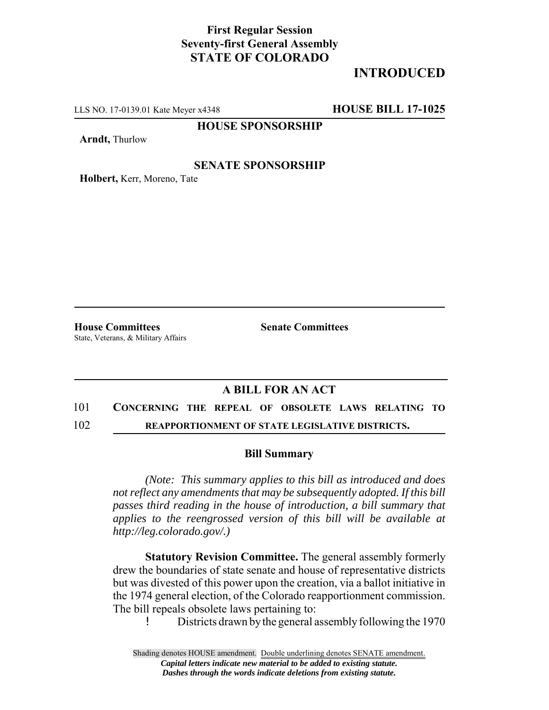## **First Regular Session Seventy-first General Assembly STATE OF COLORADO**

# **INTRODUCED**

LLS NO. 17-0139.01 Kate Meyer x4348 **HOUSE BILL 17-1025**

### **HOUSE SPONSORSHIP**

**Arndt,** Thurlow

#### **SENATE SPONSORSHIP**

**Holbert,** Kerr, Moreno, Tate

**House Committees Senate Committees** State, Veterans, & Military Affairs

### **A BILL FOR AN ACT**

## 101 **CONCERNING THE REPEAL OF OBSOLETE LAWS RELATING TO**

102 **REAPPORTIONMENT OF STATE LEGISLATIVE DISTRICTS.**

#### **Bill Summary**

*(Note: This summary applies to this bill as introduced and does not reflect any amendments that may be subsequently adopted. If this bill passes third reading in the house of introduction, a bill summary that applies to the reengrossed version of this bill will be available at http://leg.colorado.gov/.)*

**Statutory Revision Committee.** The general assembly formerly drew the boundaries of state senate and house of representative districts but was divested of this power upon the creation, via a ballot initiative in the 1974 general election, of the Colorado reapportionment commission. The bill repeals obsolete laws pertaining to:

! Districts drawn by the general assembly following the 1970